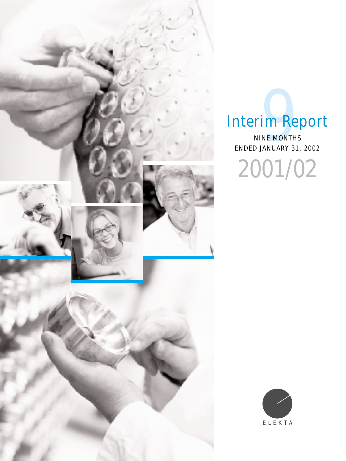

# Interim Report

ENDED JANUARY 31, 2002 **TIM REE** 

2001/02

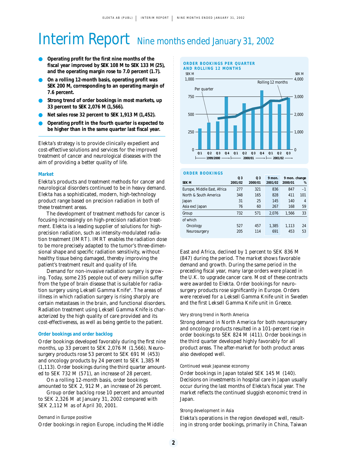## Interim Report Nine months ended January 31, 2002

- **Operating profit for the first nine months of the fiscal year improved by SEK 108 M to SEK 133 M (25), and the operating margin rose to 7.0 percent (1.7).**
- **On a rolling 12-month basis, operating profit was SEK 200 M, corresponding to an operating margin of 7.6 percent.**
- Strong trend of order bookings in most markets, up **33 percent to SEK 2,076 M (1,566).**
- **Net sales rose 32 percent to SEK 1,913 M (1,452).**
- **Operating profit in the fourth quarter is expected to be higher than in the same quarter last fiscal year.**

Elekta's strategy is to provide clinically expedient and cost-effective solutions and services for the improved treatment of cancer and neurological diseases with the aim of providing a better quality of life.

#### **Market**

Elekta's products and treatment methods for cancer and neurological disorders continued to be in heavy demand. Elekta has a sophisticated, modern, high-technology product range based on precision radiation in both of these treatment areas.

The development of treatment methods for cancer is focusing increasingly on high-precision radiation treatment. Elekta is a leading supplier of solutions for highprecision radiation, such as intensity-modulated radiation treatment (IMRT). IMRT enables the radiation dose to be more precisely adapted to the tumor's three-dimensional shape and specific radiation sensitivity, without healthy tissue being damaged, thereby improving the patient's treatment result and quality of life.

Demand for non-invasive radiation surgery is growing. Today, some 235 people out of every million suffer from the type of brain disease that is suitable for radiation surgery using Leksell Gamma Knife®. The areas of illness in which radiation surgery is rising sharply are certain metastases in the brain, and functional disorders. Radiation treatment using Leksell Gamma Knife is characterized by the high quality of care provided and its cost-effectiveness, as well as being gentle to the patient.

#### **Order bookings and order backlog**

Order bookings developed favorably during the first nine months, up 33 percent to SEK 2,076 M (1,566). Neurosurgery products rose 53 percent to SEK 691 M (453) and oncology products by 24 percent to SEK 1,385 M (1,113). Order bookings during the third quarter amounted to SEK 732 M (571), an increase of 28 percent.

On a rolling 12-month basis, order bookings amounted to SEK 2, 912 M, an increase of 26 percent.

Group order backlog rose 10 percent and amounted to SEK 2,326 M at January 31, 2002 compared with SEK 2,112 M as of April 30, 2001.

#### Demand in Europe positive

Order bookings in region Europe, including the Middle



#### **ORDER BOOKINGS**

| <b>SEK M</b>                | 0 <sub>3</sub><br>2001/02 | 0 <sub>3</sub><br>2000/01 | 9 mon.<br>2001/02 | 9 mon. change<br>2000/01 | %    |
|-----------------------------|---------------------------|---------------------------|-------------------|--------------------------|------|
| Europe, Middle East, Africa | 277                       | 321                       | 836               | 847                      | $-1$ |
| North & South America       | 348                       | 165                       | 828               | 411                      | 101  |
| Japan                       | 31                        | 25                        | 145               | 140                      | 4    |
| Asia excl Japan             | 76                        | 60                        | 267               | 168                      | 59   |
| Group                       | 732                       | 571                       | 2.076             | 1,566                    | 33   |
| of which                    |                           |                           |                   |                          |      |
| Oncology                    | 527                       | 457                       | 1,385             | 1.113                    | 24   |
| Neurosurgery                | 205                       | 114                       | 691               | 453                      | 53   |

East and Africa, declined by 1 percent to SEK 836 M (847) during the period. The market shows favorable demand and growth. During the same period in the preceding fiscal year, many large orders were placed in the U.K. to upgrade cancer care. Most of these contracts were awarded to Elekta. Order bookings for neurosurgery products rose significantly in Europe. Orders were received for a Leksell Gamma Knife unit in Sweden and the first Leksell Gamma Knife unit in Greece.

#### Very strong trend in North America

Strong demand in North America for both neurosurgery and oncology products resulted in a 101-percent rise in order bookings to SEK 824 M (411). Order bookings in the third quarter developed highly favorably for all product areas. The after-market for both product areas also developed well.

#### Continued weak Japanese economy

Order bookings in Japan totaled SEK 145 M (140). Decisions on investments in hospital care in Japan usually occur during the last months of Elekta's fiscal year. The market reflects the continued sluggish economic trend in Japan.

#### Strong development in Asia

Elekta's operations in the region developed well, resulting in strong order bookings, primarily in China, Taiwan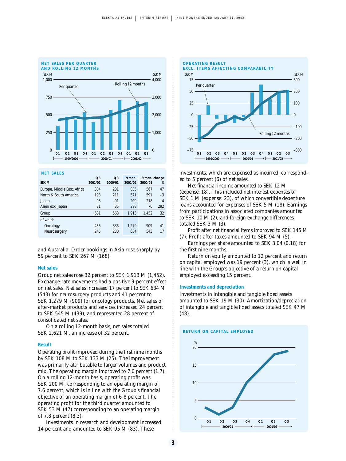

#### **NET SALES**

|                             | Q <sub>3</sub> | 0 <sub>3</sub> | 9 mon.  | 9 mon. change |      |
|-----------------------------|----------------|----------------|---------|---------------|------|
| <b>SEK M</b>                | 2001/02        | 2000/01        | 2001/02 | 2000/01       | %    |
| Europe, Middle East, Africa | 304            | 231            | 835     | 567           | 47   |
| North & South America       | 198            | 211            | 571     | 591           | $-3$ |
| Japan                       | 98             | 91             | 209     | 218           | $-4$ |
| Asien exkl Japan            | 81             | 35             | 298     | 76            | 292  |
| Group                       | 681            | 568            | 1.913   | 1.452         | 32   |
| of which                    |                |                |         |               |      |
| Oncology                    | 436            | 338            | 1.279   | 909           | 41   |
| Neurosurgery                | 245            | 230            | 634     | 543           | 17   |

and Australia. Order bookings in Asia rose sharply by 59 percent to SEK 267 M (168).

#### **Net sales**

Group net sales rose 32 percent to SEK 1,913 M (1,452). Exchange-rate movements had a positive 9-percent effect on net sales. Net sales increased 17 percent to SEK 634 M (543) for neurosurgery products and 41 percent to SEK 1,279 M (909) for oncology products. Net sales of after-market products and services increased 24 percent to SEK 545 M (439), and represented 28 percent of consolidated net sales.

On a rolling 12-month basis, net sales totaled SEK 2,621 M, an increase of 32 percent.

#### **Result**

Operating profit improved during the first nine months by SEK 108 M to SEK 133 M (25). The improvement was primarily attributable to larger volumes and product mix. The operating margin improved to 7.0 percent (1.7). On a rolling 12-month basis, operating profit was SEK 200 M, corresponding to an operating margin of 7.6 percent, which is in line with the Group's financial objective of an operating margin of 6-8 percent. The operating profit for the third quarter amounted to SEK 53 M (47) corresponding to an operating margin of 7.8 percent (8.3).

Investments in research and development increased 14 percent and amounted to SEK 95 M (83). These



investments, which are expensed as incurred, corresponded to 5 percent (6) of net sales.

Net financial income amounted to SEK 12 M (expense: 18). This included net interest expenses of SEK 1 M (expense: 23), of which convertible debenture loans accounted for expenses of SEK 5 M (18). Earnings from participations in associated companies amounted to SEK 10 M (2), and foreign exchange differences totaled SEK 3 M (3).

Profit after net financial items improved to SEK 145 M (7). Profit after taxes amounted to SEK 94 M (5).

Earnings per share amounted to SEK 3.04 (0.18) for the first nine months.

Return on equity amounted to 12 percent and return on capital employed was 19 percent (3), which is well in line with the Group's objective of a return on capital employed exceeding 15 percent.

#### **Investments and depreciation**

Investments in intangible and tangible fixed assets amounted to SEK 19 M (30). Amortization/depreciation of intangible and tangible fixed assets totaled SEK 47 M (48).

#### **RETURN ON CAPITAL EMPLOYED**

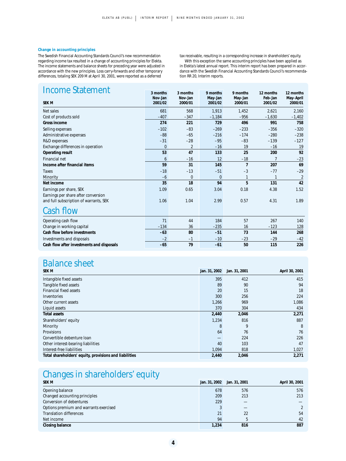#### **Change in accounting principles**

The Swedish Financial Accounting Standards Council's new recommendation regarding income tax resulted in a change of accounting principles for Elekta. The income statements and balance sheets for preceding year were adjusted in accordance with the new principles. Loss carry-forwards and other temporary differences, totaling SEK 209 M at April 30, 2001, were reported as a deferred

#### tax receivable, resulting in a corresponding increase in shareholders' equity. With this exception the same accounting principles have been applied as in Elekta's latest annual report. This interim report has been prepared in accordance with the Swedish Financial Accounting Standards Council's recommendation RR 20, Interim reports.

| <b>Income Statement</b>                   | 3 months     | 3 months       | 9 months     | 9 months       | 12 months | 12 months      |
|-------------------------------------------|--------------|----------------|--------------|----------------|-----------|----------------|
|                                           | Nov-Jan      | Nov-Jan        | May-Jan      | May-Jan        | Feb-Jan   | May-April      |
| <b>SEK M</b>                              | 2001/02      | 2000/01        | 2001/02      | 2000/01        | 2001/02   | 2000/01        |
| Net sales                                 | 681          | 568            | 1,913        | 1,452          | 2,621     | 2,160          |
| Cost of products sold                     | $-407$       | $-347$         | $-1,184$     | $-956$         | $-1,630$  | $-1,402$       |
| Gross income                              | 274          | 221            | 729          | 496            | 991       | 758            |
| Selling expenses                          | $-102$       | $-83$          | $-269$       | $-233$         | $-356$    | $-320$         |
| Administrative expenses                   | $-88$        | $-65$          | $-216$       | $-174$         | $-280$    | $-238$         |
| R&D expenses                              | $-31$        | $-28$          | $-95$        | $-83$          | $-139$    | $-127$         |
| Exchange differences in operation         | $\mathbf{0}$ | $\overline{2}$ | $-16$        | 19             | $-16$     | 19             |
| Operating result                          | 53           | 47             | 133          | 25             | 200       | 92             |
| Financial net                             | 6            | $-16$          | 12           | $-18$          | 7         | $-23$          |
| Income after financial items              | 59           | 31             | 145          | $\overline{7}$ | 207       | 69             |
| Taxes                                     | $-18$        | $-13$          | $-51$        | $-3$           | $-77$     | $-29$          |
| Minority                                  | $-6$         | 0              | $\mathbf{0}$ | 1              | 1         | $\overline{2}$ |
| Net income                                | 35           | 18             | 94           | 5              | 131       | 42             |
| Earnings per share, SEK                   | 1.09         | 0.65           | 3.04         | 0.18           | 4.38      | 1.52           |
| Earnings per share after conversion       |              |                |              |                |           |                |
| and full subscription of warrants, SEK    | 1.06         | 1.04           | 2.99         | 0.57           | 4.31      | 1.89           |
| Cash flow                                 |              |                |              |                |           |                |
| Operating cash flow                       | 71           | 44             | 184          | 57             | 267       | 140            |
| Change in working capital                 | $-134$       | 36             | $-235$       | 16             | $-123$    | 128            |
| Cash flow before investments              | $-63$        | 80             | $-51$        | 73             | 144       | 268            |
| Investments and disposals                 | $-2$         | $-1$           | $-10$        | $-23$          | $-29$     | $-42$          |
| Cash flow after investments and disposals | $-65$        | 79             | $-61$        | 50             | 115       | 226            |

### Balance sheet

| SEK M                                                  | Jan. 31, 2002 | Jan. 31, 2001 | April 30, 2001 |
|--------------------------------------------------------|---------------|---------------|----------------|
| Intangible fixed assets                                | 395           | 412           | 415            |
| Tangible fixed assets                                  | 89            | 90            | 94             |
| <b>Financial fixed assets</b>                          | 20            | 15            | 18             |
| Inventories                                            | 300           | 256           | 224            |
| Other current assets                                   | 1,266         | 969           | 1,086          |
| Liquid assets                                          | 370           | 304           | 434            |
| <b>Total assets</b>                                    | 2,440         | 2,046         | 2,271          |
| Shareholders' equity                                   | 1,234         | 816           | 887            |
| Minority                                               | 8             | 9             | 8              |
| <b>Provisions</b>                                      | 64            | 76            | 76             |
| Convertible debenture loan                             |               | 224           | 226            |
| Other interest-bearing liabilities                     | 40            | 103           | 47             |
| Interest-free liabilities                              | 1,094         | 818           | 1,027          |
| Total shareholders' equity, provisions and liabilities | 2,440         | 2,046         | 2,271          |

### Changes in shareholders' equity

| <b>SEK M</b>                           |       | Jan. 31, 2002 Jan. 31, 2001 | April 30, 2001 |
|----------------------------------------|-------|-----------------------------|----------------|
| Opening balance                        | 678   | 576                         | 576            |
| Changed accounting principles          | 209   | 213                         | 213            |
| Conversion of debentures               | 229   |                             |                |
| Options premium and warrants exercised |       |                             | $\overline{2}$ |
| <b>Translation differences</b>         | 21    | 22                          | 54             |
| Net income                             | 94    |                             | 42             |
| Closing balance                        | 1.234 | 816                         | 887            |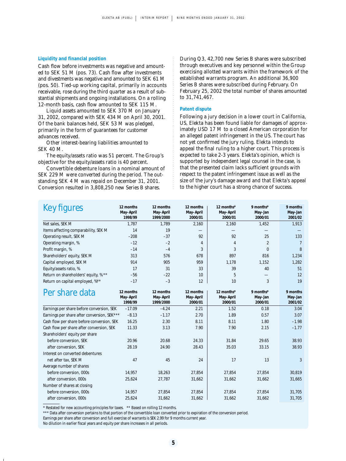#### **Liquidity and financial position**

Cash flow before investments was negative and amounted to SEK 51 M (pos. 73). Cash flow after investments and divestments was negative and amounted to SEK 61 M (pos. 50). Tied-up working capital, primarily in accounts receivable, rose during the third quarter as a result of substantial shipments and ongoing installations. On a rolling 12-month basis, cash flow amounted to SEK 115 M.

Liquid assets amounted to SEK 370 M on January 31, 2002, compared with SEK 434 M on April 30, 2001. Of the bank balances held, SEK 53 M was pledged, primarily in the form of guarantees for customer advances received.

Other interest-bearing liabilities amounted to SEK 40 M.

The equity/assets ratio was 51 percent. The Group's objective for the equity/assets ratio is 40 percent.

Convertible debenture loans in a nominal amount of SEK 229 M were converted during the period. The outstanding SEK 4 M was repaid on December 31, 2001. Conversion resulted in 3,808,250 new Series B shares.

During Q3, 42,700 new Series B shares were subscribed through executives and key personnel within the Group exercising allotted warrants within the framework of the established warrants program. An additional 36,900 Series B shares were subscribed during February. On February 25, 2002 the total number of shares amounted to 31,741,467.

#### **Patent dispute**

Following a jury decision in a lower court in California, US, Elekta has been found liable for damages of approximately USD 17 M to a closed American corporation for an alleged patent infringement in the US. The court has not yet confirmed the jury ruling. Elekta intends to appeal the final ruling to a higher court. This process is expected to take 2-3 years. Elekta's opinion, which is supported by independent legal counsel in the case, is that the presented claim lacks sufficient grounds with respect to the patent infringement issue as well as the size of the jury's damage award and that Elekta's appeal to the higher court has a strong chance of success.

| Key figures                                 | 12 months<br>May-April            | 12 months<br>May-April              | 12 months<br>May-April            | 12 months*<br>May-April            | 9 months*<br>May-Jan            | 9 months<br>May-Jan            |
|---------------------------------------------|-----------------------------------|-------------------------------------|-----------------------------------|------------------------------------|---------------------------------|--------------------------------|
|                                             | 1998/99                           | 1999/2000                           | 2000/01                           | 2000/01                            | 2000/01                         | 2001/02                        |
| Net sales, SEK M                            | 1.787                             | 1,789                               | 2,160                             | 2,160                              | 1,452                           | 1,913                          |
| Items affecting comparability, SEK M        | 14                                | 19                                  |                                   |                                    |                                 |                                |
| Operating result, SEK M                     | $-208$                            | $-37$                               | 92                                | 92                                 | 25                              | 133                            |
| Operating margin, %                         | $-12$                             | $-2$                                | $\overline{4}$                    | 4                                  | $\overline{2}$                  | $\overline{7}$                 |
| Profit margin, %                            | $-14$                             | $-4$                                | 3                                 | 3                                  | $\mathbf{0}$                    | 8                              |
| Shareholders' equity, SEK M                 | 313                               | 576                                 | 678                               | 897                                | 816                             | 1,234                          |
| Capital employed, SEK M                     | 914                               | 905                                 | 959                               | 1,178                              | 1,152                           | 1,282                          |
| Equity/assets ratio, %                      | 17                                | 31                                  | 33                                | 39                                 | 40                              | 51                             |
| Return on shareholders' equity, % **        | $-56$                             | $-22$                               | 10                                | 5                                  |                                 | 12                             |
| Return on capital employed, %**             | $-17$                             | $-3$                                | 12                                | 10                                 | 3                               | 19                             |
| Per share data                              | 12 months<br>May-April<br>1998/99 | 12 months<br>May-April<br>1999/2000 | 12 months<br>May-April<br>2000/01 | 12 months*<br>May-April<br>2000/01 | 9 months*<br>May-Jan<br>2000/01 | 9 months<br>May-Jan<br>2001/02 |
| Earnings per share before conversion, SEK   | $-17.09$                          | $-4.24$                             | 2.21                              | 1.52                               | 0.18                            | 3.04                           |
| Earnings per share after conversion, SEK*** | $-8.13$                           | $-1.17$                             | 2.70                              | 1.89                               | 0.57                            | 3.07                           |
| Cash flow per share before conversion, SEK  | 16.25                             | 2.30                                | 8.11                              | 8.11                               | 1.80                            | $-1.98$                        |
| Cash flow per share after conversion, SEK   | 11.33                             | 3.13                                | 7.90                              | 7.90                               | 2.15                            | $-1.77$                        |
| Shareholders' equity per share              |                                   |                                     |                                   |                                    |                                 |                                |
| before conversion, SEK                      | 20.96                             | 20.68                               | 24.33                             | 31.84                              | 29.65                           | 38.93                          |
| after conversion, SEK                       | 28.19                             | 24.90                               | 28.43                             | 35.03                              | 33.15                           | 38.93                          |
| Interest on converted debentures            |                                   |                                     |                                   |                                    |                                 |                                |
| net after tax, SEK M                        | 47                                | 45                                  | 24                                | 17                                 | 13                              | 3                              |
| Average number of shares                    |                                   |                                     |                                   |                                    |                                 |                                |
| before conversion, 000s                     | 14.957                            | 18,263                              | 27.854                            | 27,854                             | 27,854                          | 30,819                         |
| after conversion, 000s                      | 25,624                            | 27,787                              | 31,662                            | 31,662                             | 31,662                          | 31,665                         |
| Number of shares at closing                 |                                   |                                     |                                   |                                    |                                 |                                |
| before conversion, 000s                     | 14,957                            | 27,854                              | 27,854                            | 27,854                             | 27,854                          | 31,705                         |
| after conversion, 000s                      | 25,624                            | 31,662                              | 31,662                            | 31,662                             | 31,662                          | 31,705                         |

\* Restated for new accounting principles for taxes. \*\* Based on rolling 12 months.

\*\*\* Data after conversion pertains to that portion of the convertible loan converted prior to expiration of the conversion period. Earnings per share after conversion and full exercise of warrants is SEK 2.99 for 9 months current year.

No dilution in earlier fiscal years and equity per share increases in all periods.